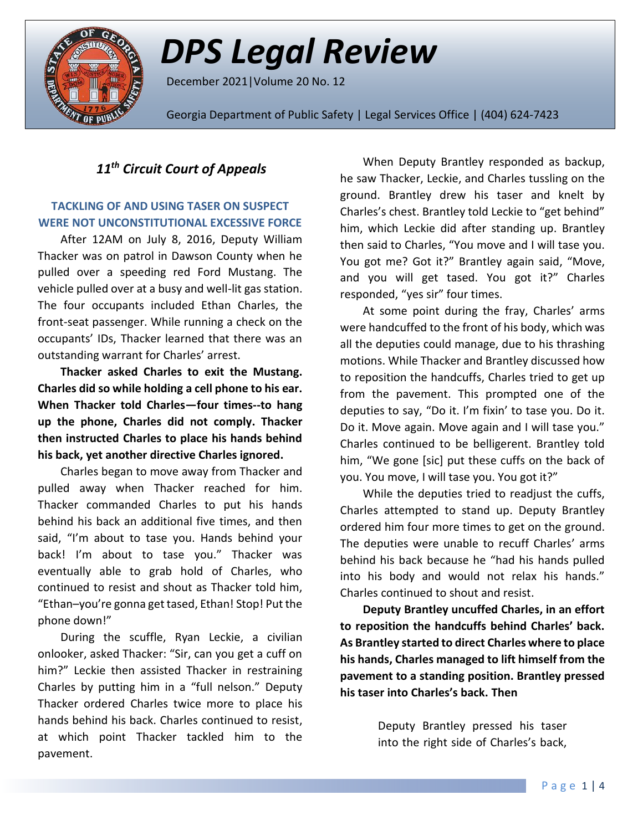

# *DPS Legal Review*

December 2021|Volume 20 No. 12

Georgia Department of Public Safety | Legal Services Office | (404) 624-7423

# *11th Circuit Court of Appeals*

### **TACKLING OF AND USING TASER ON SUSPECT WERE NOT UNCONSTITUTIONAL EXCESSIVE FORCE**

After 12AM on July 8, 2016, Deputy William Thacker was on patrol in Dawson County when he pulled over a speeding red Ford Mustang. The vehicle pulled over at a busy and well-lit gas station. The four occupants included Ethan Charles, the front-seat passenger. While running a check on the occupants' IDs, Thacker learned that there was an outstanding warrant for Charles' arrest.

**Thacker asked Charles to exit the Mustang. Charles did so while holding a cell phone to his ear. When Thacker told Charles—four times--to hang up the phone, Charles did not comply. Thacker then instructed Charles to place his hands behind his back, yet another directive Charles ignored.** 

Charles began to move away from Thacker and pulled away when Thacker reached for him. Thacker commanded Charles to put his hands behind his back an additional five times, and then said, "I'm about to tase you. Hands behind your back! I'm about to tase you." Thacker was eventually able to grab hold of Charles, who continued to resist and shout as Thacker told him, "Ethan–you're gonna get tased, Ethan! Stop! Put the phone down!"

During the scuffle, Ryan Leckie, a civilian onlooker, asked Thacker: "Sir, can you get a cuff on him?" Leckie then assisted Thacker in restraining Charles by putting him in a "full nelson." Deputy Thacker ordered Charles twice more to place his hands behind his back. Charles continued to resist, at which point Thacker tackled him to the pavement.

When Deputy Brantley responded as backup, he saw Thacker, Leckie, and Charles tussling on the ground. Brantley drew his taser and knelt by Charles's chest. Brantley told Leckie to "get behind" him, which Leckie did after standing up. Brantley then said to Charles, "You move and I will tase you. You got me? Got it?" Brantley again said, "Move, and you will get tased. You got it?" Charles responded, "yes sir" four times.

At some point during the fray, Charles' arms were handcuffed to the front of his body, which was all the deputies could manage, due to his thrashing motions. While Thacker and Brantley discussed how to reposition the handcuffs, Charles tried to get up from the pavement. This prompted one of the deputies to say, "Do it. I'm fixin' to tase you. Do it. Do it. Move again. Move again and I will tase you." Charles continued to be belligerent. Brantley told him, "We gone [sic] put these cuffs on the back of you. You move, I will tase you. You got it?"

While the deputies tried to readjust the cuffs, Charles attempted to stand up. Deputy Brantley ordered him four more times to get on the ground. The deputies were unable to recuff Charles' arms behind his back because he "had his hands pulled into his body and would not relax his hands." Charles continued to shout and resist.

**Deputy Brantley uncuffed Charles, in an effort to reposition the handcuffs behind Charles' back. As Brantley started to direct Charles where to place his hands, Charles managed to lift himself from the pavement to a standing position. Brantley pressed his taser into Charles's back. Then**

> Deputy Brantley pressed his taser into the right side of Charles's back,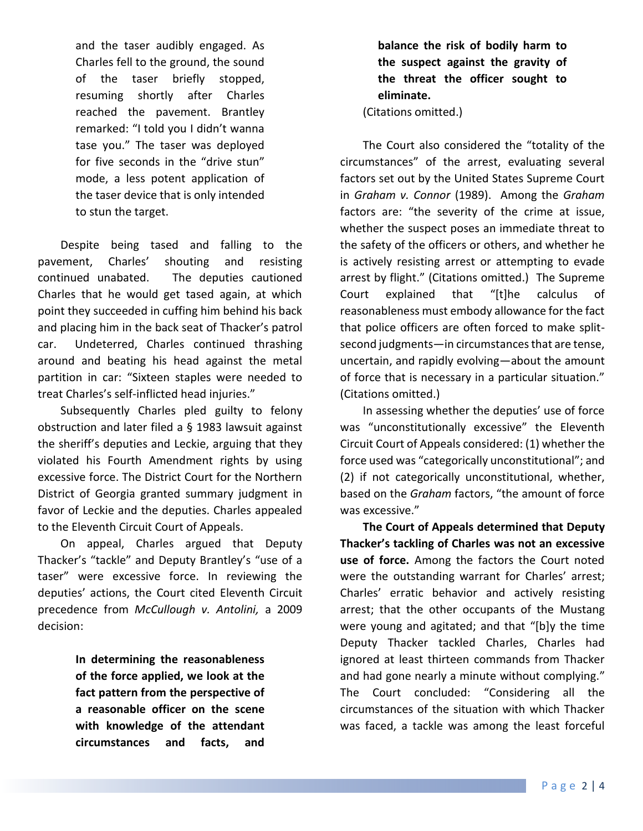and the taser audibly engaged. As Charles fell to the ground, the sound of the taser briefly stopped, resuming shortly after Charles reached the pavement. Brantley remarked: "I told you I didn't wanna tase you." The taser was deployed for five seconds in the "drive stun" mode, a less potent application of the taser device that is only intended to stun the target.

Despite being tased and falling to the pavement, Charles' shouting and resisting continued unabated. The deputies cautioned Charles that he would get tased again, at which point they succeeded in cuffing him behind his back and placing him in the back seat of Thacker's patrol car. Undeterred, Charles continued thrashing around and beating his head against the metal partition in car: "Sixteen staples were needed to treat Charles's self-inflicted head [injuries.](http://www.westlaw.com/Link/Document/FullText?entityType=injury&entityId=Ib89a81be475411db9765f9243f53508a&originationContext=document&transitionType=DocumentItem&contextData=(sc.Default)&vr=3.0&rs=cblt1.0)"

Subsequently Charles pled guilty to felony obstruction and later filed a § 1983 lawsuit against the sheriff's deputies and Leckie, arguing that they violated his Fourth Amendment rights by using excessive force. The District Court for the Northern District of Georgia granted summary judgment in favor of Leckie and the deputies. Charles appealed to the Eleventh Circuit Court of Appeals.

On appeal, Charles argued that Deputy Thacker's "tackle" and Deputy Brantley's "use of a taser" were excessive force. In reviewing the deputies' actions, the Court cited Eleventh Circuit precedence from *McCullough v. Antolini,* a 2009 decision:

> **In determining the reasonableness of the force applied, we look at the fact pattern from the perspective of a reasonable officer on the scene with knowledge of the attendant circumstances and facts, and**

# **balance the risk of bodily harm to the suspect against the gravity of the threat the officer sought to eliminate.**

(Citations omitted.)

The Court also considered the "totality of the circumstances" of the arrest, evaluating several factors set out by the United States Supreme Court in *Graham v. Connor* (1989). Among the *Graham* factors are: "the severity of the crime at issue, whether the suspect poses an immediate threat to the safety of the officers or others, and whether he is actively resisting arrest or attempting to evade arrest by flight." (Citations omitted.) The Supreme Court explained that "[t]he calculus of reasonableness must embody allowance for the fact that police officers are often forced to make splitsecond judgments—in circumstances that are tense, uncertain, and rapidly evolving—about the amount of force that is necessary in a particular situation." (Citations omitted.)

In assessing whether the deputies' use of force was "unconstitutionally excessive" the Eleventh Circuit Court of Appeals considered: (1) whether the force used was "categorically unconstitutional"; and (2) if not categorically unconstitutional, whether, based on the *[Graham](http://www.westlaw.com/Link/Document/FullText?findType=Y&serNum=1989072182&pubNum=0000780&originatingDoc=Ie09fbca0470b11ecae80b6011f92c3df&refType=RP&originationContext=document&vr=3.0&rs=cblt1.0&transitionType=DocumentItem&contextData=(sc.UserEnteredCitation))* factors, "the amount of force was excessive."

**The Court of Appeals determined that Deputy Thacker's tackling of Charles was not an excessive use of force.** Among the factors the Court noted were the outstanding warrant for Charles' arrest; Charles' erratic behavior and actively resisting arrest; that the other occupants of the Mustang were young and agitated; and that "[b]y the time Deputy Thacker tackled Charles, Charles had ignored at least thirteen commands from Thacker and had gone nearly a minute without complying." The Court concluded: "Considering all the circumstances of the situation with which Thacker was faced, a tackle was among the least forceful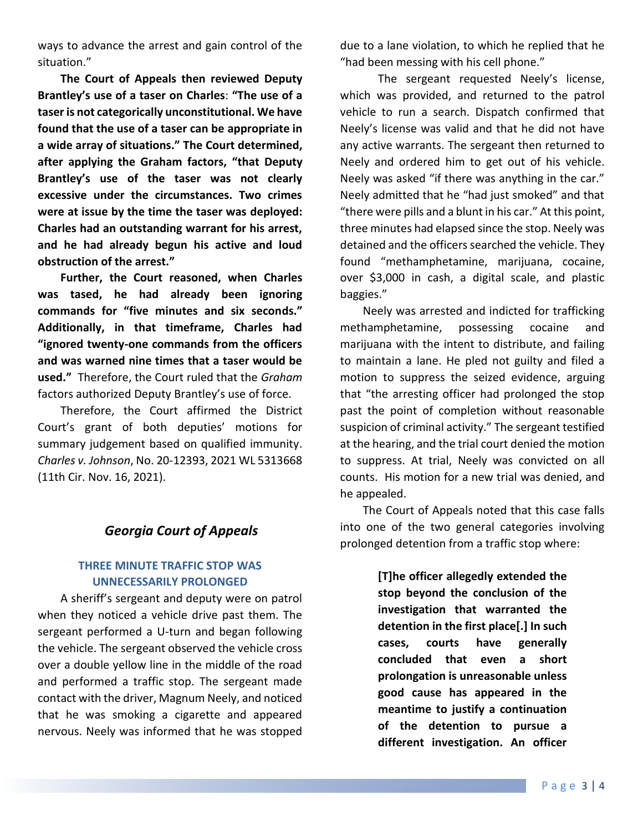ways to advance the arrest and gain control of the situation."

**The Court of Appeals then reviewed Deputy Brantley's use of a taser on Charles**: **"The use of a taser is not categorically unconstitutional. We have found that the use of a taser can be appropriate in a wide array of situations." The Court determined, after applying the Graham factors, "that Deputy Brantley's use of the taser was not clearly excessive under the circumstances. Two crimes were at issue by the time the taser was deployed: Charles had an outstanding warrant for his arrest, and he had already begun his active and loud obstruction of the arrest."**

**Further, the Court reasoned, when Charles was tased, he had already been ignoring commands for "five minutes and six seconds." Additionally, in that timeframe, Charles had "ignored twenty-one commands from the officers and was warned nine times that a taser would be used."** Therefore, the Court ruled that the *Graham* factors authorized Deputy Brantley's use of force.

Therefore, the Court affirmed the District Court's grant of both deputies' motions for summary judgement based on qualified immunity. *Charles v. Johnson*, No. 20-12393, 2021 WL 5313668 (11th Cir. Nov. 16, 2021).

## *Georgia Court of Appeals*

### **THREE MINUTE TRAFFIC STOP WAS UNNECESSARILY PROLONGED**

A sheriff's sergeant and deputy were on patrol when they noticed a vehicle drive past them. The sergeant performed a U-turn and began following the vehicle. The sergeant observed the vehicle cross over a double yellow line in the middle of the road and performed a traffic stop. The sergeant made contact with the driver, Magnum Neely, and noticed that he was smoking a cigarette and appeared nervous. Neely was informed that he was stopped

due to a lane violation, to which he replied that he "had been messing with his cell phone."

The sergeant requested Neely's license, which was provided, and returned to the patrol vehicle to run a search. Dispatch confirmed that Neely's license was valid and that he did not have any active warrants. The sergeant then returned to Neely and ordered him to get out of his vehicle. Neely was asked "if there was anything in the car." Neely admitted that he "had just smoked" and that "there were pills and a blunt in his car." At this point, three minutes had elapsed since the stop. Neely was detained and the officers searched the vehicle. They found "methamphetamine, marijuana, cocaine, over \$3,000 in cash, a digital scale, and plastic baggies."

Neely was arrested and indicted for trafficking methamphetamine, possessing cocaine and marijuana with the intent to distribute, and failing to maintain a lane. He pled not guilty and filed a motion to suppress the seized evidence, arguing that "the arresting officer had prolonged the stop past the point of completion without reasonable suspicion of criminal activity." The sergeant testified at the hearing, and the trial court denied the motion to suppress. At trial, Neely was convicted on all counts. His motion for a new trial was denied, and he appealed.

The Court of Appeals noted that this case falls into one of the two general categories involving prolonged detention from a traffic stop where:

> **[T]he officer allegedly extended the stop beyond the conclusion of the investigation that warranted the detention in the first place[.] In such cases, courts have generally concluded that even a short prolongation is unreasonable unless good cause has appeared in the meantime to justify a continuation of the detention to pursue a different investigation. An officer**